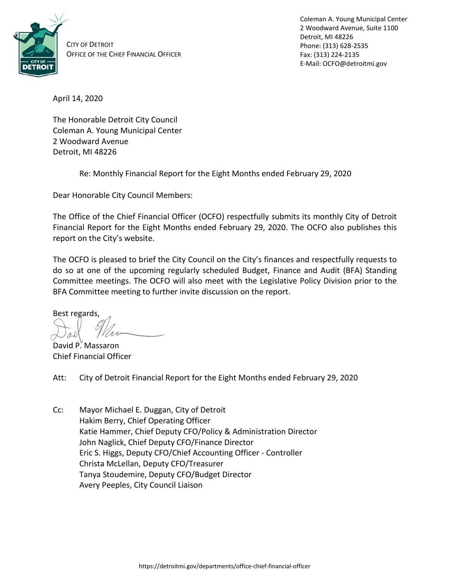

CITY OF DETROIT OFFICE OF THE CHIEF FINANCIAL OFFICER Coleman A. Young Municipal Center 2 Woodward Avenue, Suite 1100 Detroit, MI 48226 Phone: (313) 628-2535 Fax: (313) 224-2135 E-Mail: OCFO@detroitmi.gov

April 14, 2020

The Honorable Detroit City Council Coleman A. Young Municipal Center 2 Woodward Avenue Detroit, MI 48226

Re: Monthly Financial Report for the Eight Months ended February 29, 2020

Dear Honorable City Council Members:

The Office of the Chief Financial Officer (OCFO) respectfully submits its monthly City of Detroit Financial Report for the Eight Months ended February 29, 2020. The OCFO also publishes this report on the City's website.

The OCFO is pleased to brief the City Council on the City's finances and respectfully requests to do so at one of the upcoming regularly scheduled Budget, Finance and Audit (BFA) Standing Committee meetings. The OCFO will also meet with the Legislative Policy Division prior to the BFA Committee meeting to further invite discussion on the report.

Best regards,

David P. Massaron Chief Financial Officer

Att: City of Detroit Financial Report for the Eight Months ended February 29, 2020

Cc: Mayor Michael E. Duggan, City of Detroit Hakim Berry, Chief Operating Officer Katie Hammer, Chief Deputy CFO/Policy & Administration Director John Naglick, Chief Deputy CFO/Finance Director Eric S. Higgs, Deputy CFO/Chief Accounting Officer - Controller Christa McLellan, Deputy CFO/Treasurer Tanya Stoudemire, Deputy CFO/Budget Director Avery Peeples, City Council Liaison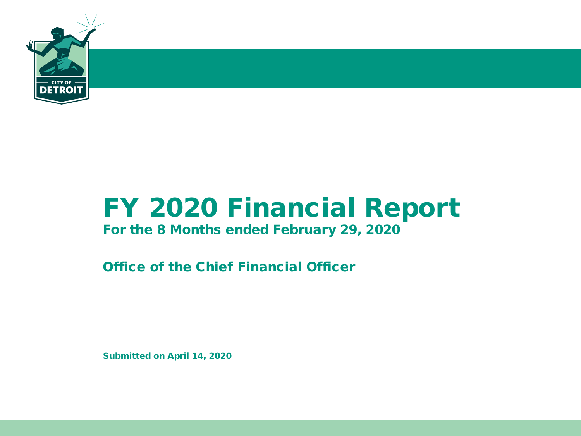

# FY 2020 Financial Report

### For the 8 Months ended February 29, 2020

Office of the Chief Financial Officer

Submitted on April 14, 2020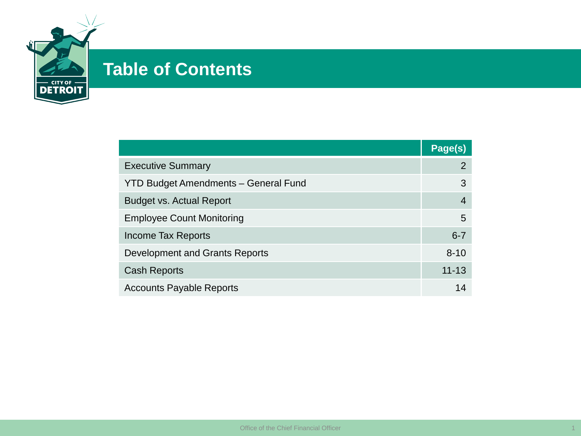

### **Table of Contents**

|                                             | Page(s)               |
|---------------------------------------------|-----------------------|
| <b>Executive Summary</b>                    | $\mathbf{2}^{\prime}$ |
| <b>YTD Budget Amendments - General Fund</b> | 3                     |
| <b>Budget vs. Actual Report</b>             | $\overline{4}$        |
| <b>Employee Count Monitoring</b>            | 5                     |
| Income Tax Reports                          | $6 - 7$               |
| Development and Grants Reports              | $8 - 10$              |
| <b>Cash Reports</b>                         | $11 - 13$             |
| <b>Accounts Payable Reports</b>             | 14                    |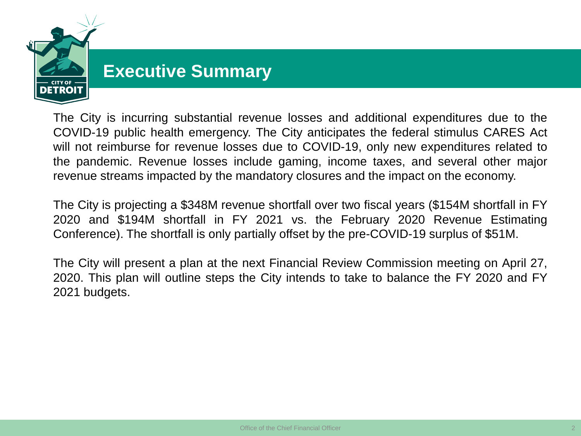

### **Executive Summary**

The City is incurring substantial revenue losses and additional expenditures due to the COVID-19 public health emergency. The City anticipates the federal stimulus CARES Act will not reimburse for revenue losses due to COVID-19, only new expenditures related to the pandemic. Revenue losses include gaming, income taxes, and several other major revenue streams impacted by the mandatory closures and the impact on the economy.

The City is projecting a \$348M revenue shortfall over two fiscal years (\$154M shortfall in FY 2020 and \$194M shortfall in FY 2021 vs. the February 2020 Revenue Estimating Conference). The shortfall is only partially offset by the pre-COVID-19 surplus of \$51M.

The City will present a plan at the next Financial Review Commission meeting on April 27, 2020. This plan will outline steps the City intends to take to balance the FY 2020 and FY 2021 budgets.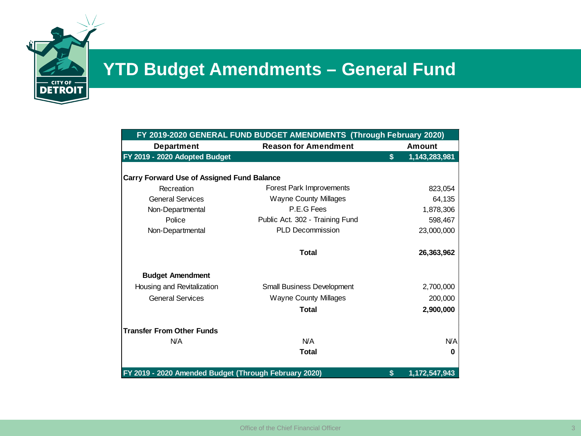

### **YTD Budget Amendments – General Fund**

| FY 2019-2020 GENERAL FUND BUDGET AMENDMENTS (Through February 2020) |                                 |    |               |  |  |  |  |  |  |  |  |
|---------------------------------------------------------------------|---------------------------------|----|---------------|--|--|--|--|--|--|--|--|
| <b>Department</b>                                                   | <b>Reason for Amendment</b>     |    | Amount        |  |  |  |  |  |  |  |  |
| FY 2019 - 2020 Adopted Budget                                       |                                 | \$ | 1,143,283,981 |  |  |  |  |  |  |  |  |
|                                                                     |                                 |    |               |  |  |  |  |  |  |  |  |
| <b>Carry Forward Use of Assigned Fund Balance</b>                   |                                 |    |               |  |  |  |  |  |  |  |  |
| Recreation                                                          | Forest Park Improvements        |    | 823,054       |  |  |  |  |  |  |  |  |
| <b>General Services</b>                                             | <b>Wayne County Millages</b>    |    | 64,135        |  |  |  |  |  |  |  |  |
| Non-Departmental                                                    | P.E.G Fees                      |    | 1,878,306     |  |  |  |  |  |  |  |  |
| Police                                                              | Public Act. 302 - Training Fund |    | 598,467       |  |  |  |  |  |  |  |  |
| Non-Departmental                                                    | <b>PLD Decommission</b>         |    | 23,000,000    |  |  |  |  |  |  |  |  |
|                                                                     | <b>Total</b>                    |    | 26,363,962    |  |  |  |  |  |  |  |  |
| <b>Budget Amendment</b>                                             |                                 |    |               |  |  |  |  |  |  |  |  |
| Housing and Revitalization                                          | Small Business Development      |    | 2,700,000     |  |  |  |  |  |  |  |  |
| <b>General Services</b>                                             | <b>Wayne County Millages</b>    |    | 200,000       |  |  |  |  |  |  |  |  |
|                                                                     | Total                           |    | 2,900,000     |  |  |  |  |  |  |  |  |
| <b>Transfer From Other Funds</b>                                    |                                 |    |               |  |  |  |  |  |  |  |  |
| <b>N/A</b>                                                          | <b>N/A</b>                      |    | N/A           |  |  |  |  |  |  |  |  |
|                                                                     | Total                           |    | $\bf{0}$      |  |  |  |  |  |  |  |  |
| FY 2019 - 2020 Amended Budget (Through February 2020)               |                                 | \$ | 1,172,547,943 |  |  |  |  |  |  |  |  |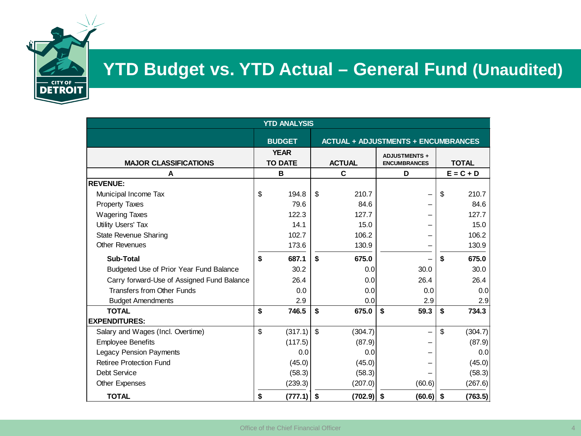

### **YTD Budget vs. YTD Actual – General Fund (Unaudited)**

| <b>YTD ANALYSIS</b>                        |    |                               |    |               |                                             |    |              |  |  |  |  |  |  |
|--------------------------------------------|----|-------------------------------|----|---------------|---------------------------------------------|----|--------------|--|--|--|--|--|--|
|                                            |    | <b>BUDGET</b>                 |    |               | <b>ACTUAL + ADJUSTMENTS + ENCUMBRANCES</b>  |    |              |  |  |  |  |  |  |
| <b>MAJOR CLASSIFICATIONS</b>               |    | <b>YEAR</b><br><b>TO DATE</b> |    | <b>ACTUAL</b> | <b>ADJUSTMENTS +</b><br><b>ENCUMBRANCES</b> |    | <b>TOTAL</b> |  |  |  |  |  |  |
| A                                          |    | в                             |    | C             | D                                           |    | $E = C + D$  |  |  |  |  |  |  |
| <b>REVENUE:</b>                            |    |                               |    |               |                                             |    |              |  |  |  |  |  |  |
| Municipal Income Tax                       | \$ | 194.8                         | \$ | 210.7         | —                                           | \$ | 210.7        |  |  |  |  |  |  |
| <b>Property Taxes</b>                      |    | 79.6                          |    | 84.6          |                                             |    | 84.6         |  |  |  |  |  |  |
| <b>Wagering Taxes</b>                      |    | 122.3                         |    | 127.7         |                                             |    | 127.7        |  |  |  |  |  |  |
| Utility Users' Tax                         |    | 14.1                          |    | 15.0          |                                             |    | 15.0         |  |  |  |  |  |  |
| <b>State Revenue Sharing</b>               |    | 102.7                         |    | 106.2         |                                             |    | 106.2        |  |  |  |  |  |  |
| <b>Other Revenues</b>                      |    | 173.6                         |    | 130.9         |                                             |    | 130.9        |  |  |  |  |  |  |
| Sub-Total                                  | \$ | 687.1                         | \$ | 675.0         |                                             | \$ | 675.0        |  |  |  |  |  |  |
| Budgeted Use of Prior Year Fund Balance    |    | 30.2                          |    | 0.0           | 30.0                                        |    | 30.0         |  |  |  |  |  |  |
| Carry forward-Use of Assigned Fund Balance |    | 26.4                          |    | 0.0           | 26.4                                        |    | 26.4         |  |  |  |  |  |  |
| <b>Transfers from Other Funds</b>          |    | 0.0                           |    | 0.0           | 0.0                                         |    | 0.0          |  |  |  |  |  |  |
| <b>Budget Amendments</b>                   |    | 2.9                           |    | 0.0           | 2.9                                         |    | 2.9          |  |  |  |  |  |  |
| <b>TOTAL</b>                               | \$ | 746.5                         | \$ | 675.0         | \$<br>59.3                                  | \$ | 734.3        |  |  |  |  |  |  |
| <b>EXPENDITURES:</b>                       |    |                               |    |               |                                             |    |              |  |  |  |  |  |  |
| Salary and Wages (Incl. Overtime)          | \$ | (317.1)                       | \$ | (304.7)       | $\overline{\phantom{0}}$                    | \$ | (304.7)      |  |  |  |  |  |  |
| <b>Employee Benefits</b>                   |    | (117.5)                       |    | (87.9)        |                                             |    | (87.9)       |  |  |  |  |  |  |
| <b>Legacy Pension Payments</b>             |    | 0.0                           |    | 0.0           |                                             |    | 0.0          |  |  |  |  |  |  |
| <b>Retiree Protection Fund</b>             |    | (45.0)                        |    | (45.0)        |                                             |    | (45.0)       |  |  |  |  |  |  |
| Debt Service                               |    | (58.3)                        |    | (58.3)        |                                             |    | (58.3)       |  |  |  |  |  |  |
| <b>Other Expenses</b>                      |    | (239.3)                       |    | (207.0)       | (60.6)                                      |    | (267.6)      |  |  |  |  |  |  |
| <b>TOTAL</b>                               |    | (777.1)                       | \$ | $(702.9)$ \$  | $(60.6)$ \$                                 |    | (763.5)      |  |  |  |  |  |  |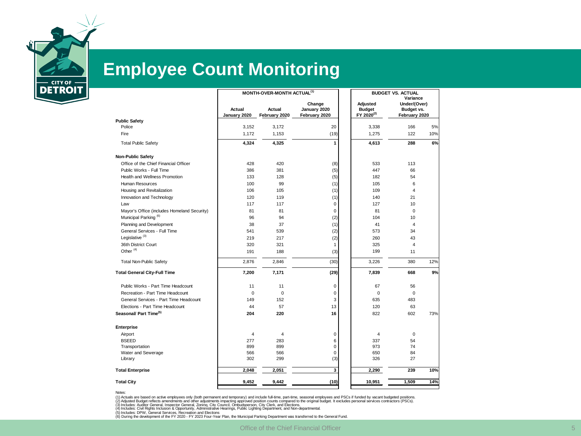

### **Employee Count Monitoring**

|                                             |                        | MONTH-OVER-MONTH ACTUAL <sup>(1)</sup> | <b>BUDGET VS. ACTUAL</b><br>Variance    |                                                     |                                             |     |  |  |  |  |  |
|---------------------------------------------|------------------------|----------------------------------------|-----------------------------------------|-----------------------------------------------------|---------------------------------------------|-----|--|--|--|--|--|
|                                             | Actual<br>January 2020 | Actual<br>February 2020                | Change<br>January 2020<br>February 2020 | Adjusted<br><b>Budget</b><br>FY 2020 <sup>(2)</sup> | Under/(Over)<br>Budget vs.<br>February 2020 |     |  |  |  |  |  |
| <b>Public Safety</b>                        |                        |                                        |                                         |                                                     |                                             |     |  |  |  |  |  |
| Police                                      | 3,152                  | 3,172                                  | 20                                      | 3,338                                               | 166                                         | 5%  |  |  |  |  |  |
| Fire                                        | 1,172                  | 1,153                                  | (19)                                    | 1,275                                               | 122                                         | 10% |  |  |  |  |  |
| <b>Total Public Safety</b>                  | 4,324                  | 4,325                                  | 1                                       | 4,613                                               | 288                                         | 6%  |  |  |  |  |  |
| <b>Non-Public Safety</b>                    |                        |                                        |                                         |                                                     |                                             |     |  |  |  |  |  |
| Office of the Chief Financial Officer       | 428                    | 420                                    | (8)                                     | 533                                                 | 113                                         |     |  |  |  |  |  |
| Public Works - Full Time                    | 386                    | 381                                    | (5)                                     | 447                                                 | 66                                          |     |  |  |  |  |  |
| Health and Wellness Promotion               | 133                    | 128                                    | (5)                                     | 182                                                 | 54                                          |     |  |  |  |  |  |
| Human Resources                             | 100                    | 99                                     | (1)                                     | 105                                                 | 6                                           |     |  |  |  |  |  |
| Housing and Revitalization                  | 106                    | 105                                    | (1)                                     | 109                                                 | $\overline{4}$                              |     |  |  |  |  |  |
| Innovation and Technology                   | 120                    | 119                                    | (1)                                     | 140                                                 | 21                                          |     |  |  |  |  |  |
| Law                                         | 117                    | 117                                    | $\mathbf 0$                             | 127                                                 | 10                                          |     |  |  |  |  |  |
| Mayor's Office (includes Homeland Security) | 81                     | 81                                     | $\mathbf 0$                             | 81                                                  | $\mathbf 0$                                 |     |  |  |  |  |  |
| Municipal Parking <sup>(6)</sup>            | 96                     | 94                                     | (2)                                     | 104                                                 | 10                                          |     |  |  |  |  |  |
| Planning and Development                    | 38                     | 37                                     | (1)                                     | 41                                                  | $\overline{4}$                              |     |  |  |  |  |  |
| General Services - Full Time                | 541                    | 539                                    | (2)                                     | 573                                                 | 34                                          |     |  |  |  |  |  |
| Legislative <sup>(3)</sup>                  | 219                    | 217                                    | (2)                                     | 260                                                 | 43                                          |     |  |  |  |  |  |
| 36th District Court                         | 320                    | 321                                    | $\mathbf{1}$                            | 325                                                 | $\overline{4}$                              |     |  |  |  |  |  |
| Other <sup>(4)</sup>                        | 191                    | 188                                    | (3)                                     | 199                                                 | 11                                          |     |  |  |  |  |  |
| <b>Total Non-Public Safety</b>              | 2,876                  | 2,846                                  | (30)                                    | 3,226                                               | 380                                         | 12% |  |  |  |  |  |
| <b>Total General City-Full Time</b>         | 7,200                  | 7,171                                  | (29)                                    | 7,839                                               | 668                                         | 9%  |  |  |  |  |  |
| Public Works - Part Time Headcount          | 11                     | 11                                     | $\mathbf 0$                             | 67                                                  | 56                                          |     |  |  |  |  |  |
| Recreation - Part Time Headcount            | $\Omega$               | $\Omega$                               | $\mathbf 0$                             | $\Omega$                                            | $\mathbf 0$                                 |     |  |  |  |  |  |
| General Services - Part Time Headcount      | 149                    | 152                                    | 3                                       | 635                                                 | 483                                         |     |  |  |  |  |  |
| Elections - Part Time Headcount             | 44                     | 57                                     | 13                                      | 120                                                 | 63                                          |     |  |  |  |  |  |
| Seasonal/ Part Time <sup>(5)</sup>          | 204                    | 220                                    | 16                                      | 822                                                 | 602                                         | 73% |  |  |  |  |  |
| Enterprise                                  |                        |                                        |                                         |                                                     |                                             |     |  |  |  |  |  |
| Airport                                     | 4                      | 4                                      | 0                                       | $\overline{\mathbf{4}}$                             | $\mathbf 0$                                 |     |  |  |  |  |  |
| <b>BSEED</b>                                | 277                    | 283                                    | 6                                       | 337                                                 | 54                                          |     |  |  |  |  |  |
| Transportation                              | 899                    | 899                                    | $\pmb{0}$                               | 973                                                 | 74                                          |     |  |  |  |  |  |
| Water and Sewerage                          | 566                    | 566                                    | $\mathbf 0$                             | 650                                                 | 84                                          |     |  |  |  |  |  |
| Library                                     | 302                    | 299                                    | (3)                                     | 326                                                 | 27                                          |     |  |  |  |  |  |
| <b>Total Enterprise</b>                     | 2,048                  | 2,051                                  | 3                                       | 2,290                                               | 239                                         | 10% |  |  |  |  |  |
| <b>Total City</b>                           | 9,452                  | 9,442                                  | (10)                                    | 10,951                                              | 1,509                                       | 14% |  |  |  |  |  |

Notes:

(1) Actuals are based on active employees only tooth permanent and temporary) and include full-time, part-time, seasonal employees and PSCs if funded by vacant budgeted positions.<br>(2) Adjusted Budget reflects amendments an

(5) Includes: DPW, General Services, Recreation and Elections

(6) During the development of the FY 2020 - FY 2023 Four-Year Plan, the Municipal Parking Department was transferred to the General Fund.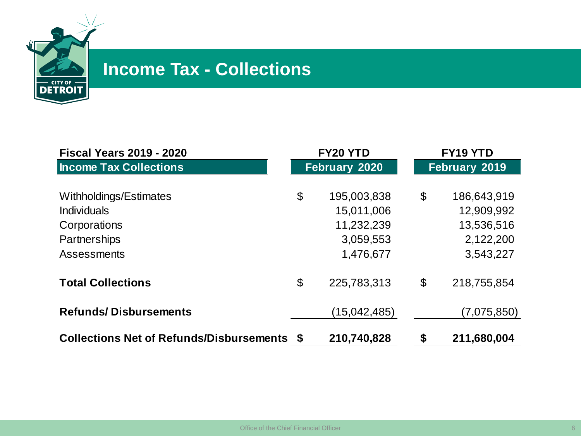

# **Income Tax - Collections**

| <b>Fiscal Years 2019 - 2020</b>                 |    | FY20 YTD             |                            | FY19 YTD             |  |  |  |  |  |  |
|-------------------------------------------------|----|----------------------|----------------------------|----------------------|--|--|--|--|--|--|
| <b>Income Tax Collections</b>                   |    | <b>February 2020</b> |                            | <b>February 2019</b> |  |  |  |  |  |  |
|                                                 |    |                      |                            |                      |  |  |  |  |  |  |
| Withholdings/Estimates                          | \$ | 195,003,838          | $\boldsymbol{\mathcal{L}}$ | 186,643,919          |  |  |  |  |  |  |
| <b>Individuals</b>                              |    | 15,011,006           |                            | 12,909,992           |  |  |  |  |  |  |
| Corporations                                    |    | 11,232,239           |                            | 13,536,516           |  |  |  |  |  |  |
| Partnerships                                    |    | 3,059,553            |                            | 2,122,200            |  |  |  |  |  |  |
| <b>Assessments</b>                              |    | 1,476,677            |                            | 3,543,227            |  |  |  |  |  |  |
| <b>Total Collections</b>                        | \$ | 225,783,313          | $\boldsymbol{\mathsf{S}}$  | 218,755,854          |  |  |  |  |  |  |
| <b>Refunds/Disbursements</b>                    |    | (15,042,485)         |                            | (7,075,850)          |  |  |  |  |  |  |
| <b>Collections Net of Refunds/Disbursements</b> |    | 210,740,828          | \$                         | 211,680,004          |  |  |  |  |  |  |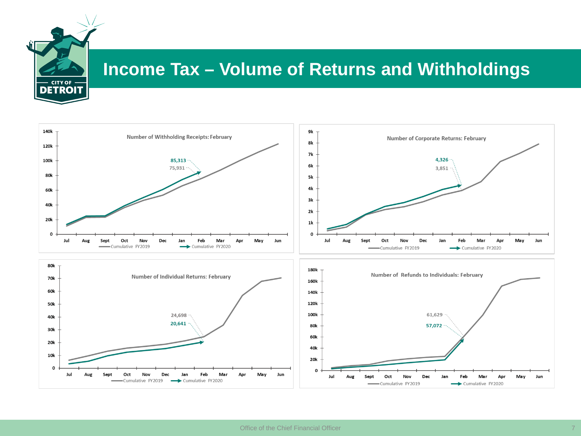

# **Income Tax – Volume of Returns and Withholdings**

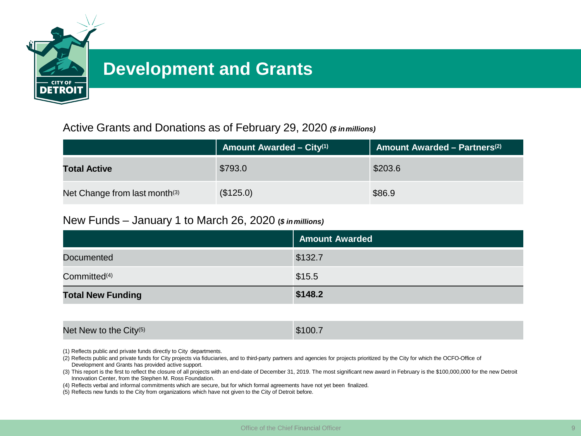

### **Development and Grants**

### Active Grants and Donations as of February 29, 2020 *(\$ inmillions)*

|                               | <b>Amount Awarded – City(1)</b> | <b>Amount Awarded - Partners</b> <sup>(2)</sup> |
|-------------------------------|---------------------------------|-------------------------------------------------|
| <b>Total Active</b>           | \$793.0                         | \$203.6                                         |
| Net Change from last month(3) | (\$125.0)                       | \$86.9                                          |

### New Funds – January 1 to March 26, 2020 **(***\$ inmillions)*

|                          | <b>Amount Awarded</b> |
|--------------------------|-----------------------|
| <b>Documented</b>        | \$132.7               |
| Committed <sup>(4)</sup> | \$15.5                |
| <b>Total New Funding</b> | \$148.2               |

### Net New to the City<sup>(5)</sup>  $$100.7$

(1) Reflects public and private funds directly to City departments.

- (2) Reflects public and private funds for City projects via fiduciaries, and to third-party partners and agencies for projects prioritized by the City for which the OCFO-Office of Development and Grants has provided active support.
- (3) This report is the first to reflect the closure of all projects with an end-date of December 31, 2019. The most significant new award in February is the \$100,000,000 for the new Detroit Innovation Center, from the Stephen M. Ross Foundation.
- (4) Reflects verbal and informal commitments which are secure, but for which formal agreements have not yet been finalized.
- (5) Reflects new funds to the City from organizations which have not given to the City of Detroit before.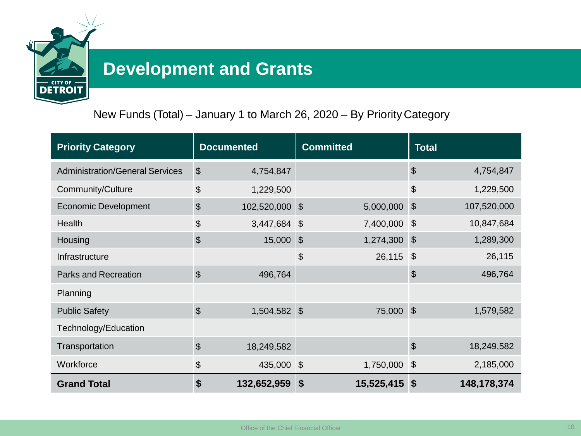

### **Development and Grants**

New Funds (Total) – January 1 to March 26, 2020 – By Priority Category

| <b>Priority Category</b>               | <b>Documented</b>                           | <b>Committed</b>                    | <b>Total</b>                             |
|----------------------------------------|---------------------------------------------|-------------------------------------|------------------------------------------|
| <b>Administration/General Services</b> | $\boldsymbol{\mathsf{S}}$<br>4,754,847      |                                     | $\boldsymbol{\theta}$<br>4,754,847       |
| Community/Culture                      | $\mathfrak{S}$<br>1,229,500                 |                                     | $\boldsymbol{\theta}$<br>1,229,500       |
| <b>Economic Development</b>            | $\boldsymbol{\mathsf{S}}$<br>102,520,000 \$ | 5,000,000                           | $\boldsymbol{\mathsf{S}}$<br>107,520,000 |
| Health                                 | \$<br>3,447,684                             | $\mathfrak{S}$<br>7,400,000         | $\mathfrak{F}$<br>10,847,684             |
| Housing                                | $\boldsymbol{\mathsf{S}}$<br>15,000         | 1,274,300<br>$\mathcal{S}$          | 1,289,300<br>$\mathcal{S}$               |
| Infrastructure                         |                                             | 26,115<br>$\boldsymbol{\mathsf{S}}$ | $\mathfrak{F}$<br>26,115                 |
| <b>Parks and Recreation</b>            | $\mathcal{S}$<br>496,764                    |                                     | $\boldsymbol{\theta}$<br>496,764         |
| Planning                               |                                             |                                     |                                          |
| <b>Public Safety</b>                   | $\boldsymbol{\mathsf{S}}$<br>1,504,582 \$   | 75,000                              | $\sqrt{3}$<br>1,579,582                  |
| Technology/Education                   |                                             |                                     |                                          |
| Transportation                         | $\mathfrak{S}$<br>18,249,582                |                                     | $\boldsymbol{\mathsf{S}}$<br>18,249,582  |
| Workforce                              | \$<br>435,000 \$                            | 1,750,000                           | $\sqrt{3}$<br>2,185,000                  |
| <b>Grand Total</b>                     | 132,652,959<br>\$                           | 15,525,415<br>$\sqrt{3}$            | 148,178,374<br>- \$                      |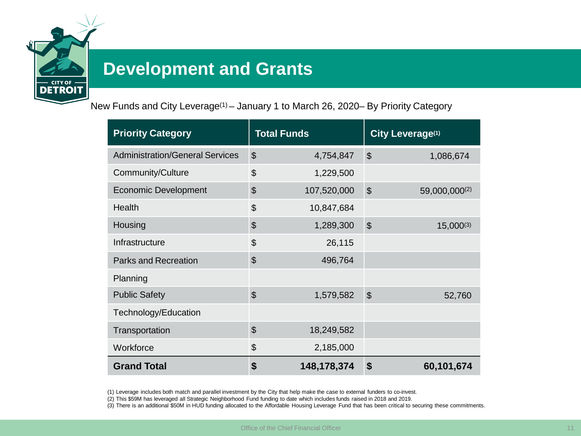

### **Development and Grants**

New Funds and City Leverage(1) – January 1 to March 26, 2020– By Priority Category

| <b>Priority Category</b>               | <b>Total Funds</b>            |                                        | City Leverage(1) |
|----------------------------------------|-------------------------------|----------------------------------------|------------------|
| <b>Administration/General Services</b> | $\boldsymbol{\mathsf{S}}$     | $\mathfrak{S}$<br>4,754,847            | 1,086,674        |
| Community/Culture                      | \$                            | 1,229,500                              |                  |
| <b>Economic Development</b>            | $\mathfrak{S}$<br>107,520,000 | $\mathcal{L}$                          | 59,000,000(2)    |
| Health                                 | \$                            | 10,847,684                             |                  |
| Housing                                | $\boldsymbol{\mathsf{S}}$     | $\boldsymbol{\mathsf{S}}$<br>1,289,300 | $15,000^{(3)}$   |
| Infrastructure                         | \$                            | 26,115                                 |                  |
| <b>Parks and Recreation</b>            | $\boldsymbol{\mathsf{S}}$     | 496,764                                |                  |
| Planning                               |                               |                                        |                  |
| <b>Public Safety</b>                   | $\mathfrak{S}$                | $\boldsymbol{\mathsf{S}}$<br>1,579,582 | 52,760           |
| Technology/Education                   |                               |                                        |                  |
| Transportation                         | $\mathfrak{S}$                | 18,249,582                             |                  |
| Workforce                              | \$                            | 2,185,000                              |                  |
| <b>Grand Total</b>                     | \$<br>148,178,374             | \$                                     | 60,101,674       |

(1) Leverage includes both match and parallel investment by the City that help make the case to external funders to co-invest.

(2) This \$59M has leveraged all Strategic Neighborhood Fund funding to date which includes funds raised in 2018 and 2019.

(3) There is an additional \$50M in HUD funding allocated to the Affordable Housing Leverage Fund that has been critical to securing these commitments.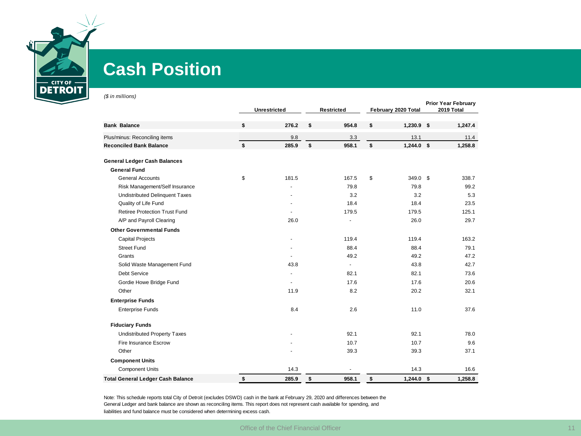

### **Cash Position**

*(\$ in millions)*

|                                          | <b>Unrestricted</b>      | <b>Restricted</b>        | February 2020 Total | <b>Prior Year February</b><br>2019 Total |         |  |  |
|------------------------------------------|--------------------------|--------------------------|---------------------|------------------------------------------|---------|--|--|
| <b>Bank Balance</b>                      | \$<br>276.2              | \$<br>954.8              | \$<br>$1,230.9$ \$  |                                          | 1,247.4 |  |  |
| Plus/minus: Reconciling items            | 9.8                      | 3.3                      | 13.1                |                                          | 11.4    |  |  |
| <b>Reconciled Bank Balance</b>           | \$<br>285.9              | \$<br>958.1              | \$<br>$1,244.0$ \$  |                                          | 1,258.8 |  |  |
| General Ledger Cash Balances             |                          |                          |                     |                                          |         |  |  |
| <b>General Fund</b>                      |                          |                          |                     |                                          |         |  |  |
| <b>General Accounts</b>                  | \$<br>181.5              | 167.5                    | \$<br>349.0 \$      |                                          | 338.7   |  |  |
| Risk Management/Self Insurance           |                          | 79.8                     | 79.8                |                                          | 99.2    |  |  |
| <b>Undistributed Delinquent Taxes</b>    |                          | 3.2                      | 3.2                 |                                          | 5.3     |  |  |
| Quality of Life Fund                     |                          | 18.4                     | 18.4                |                                          | 23.5    |  |  |
| Retiree Protection Trust Fund            |                          | 179.5                    | 179.5               |                                          | 125.1   |  |  |
| A/P and Payroll Clearing                 | 26.0                     |                          | 26.0                |                                          | 29.7    |  |  |
| <b>Other Governmental Funds</b>          |                          |                          |                     |                                          |         |  |  |
| <b>Capital Projects</b>                  |                          | 119.4                    | 119.4               |                                          | 163.2   |  |  |
| <b>Street Fund</b>                       |                          | 88.4                     | 88.4                |                                          | 79.1    |  |  |
| Grants                                   | $\overline{a}$           | 49.2                     | 49.2                |                                          | 47.2    |  |  |
| Solid Waste Management Fund              | 43.8                     | $\overline{\phantom{a}}$ | 43.8                |                                          | 42.7    |  |  |
| <b>Debt Service</b>                      | $\overline{a}$           | 82.1                     | 82.1                |                                          | 73.6    |  |  |
| Gordie Howe Bridge Fund                  | $\overline{\phantom{a}}$ | 17.6                     | 17.6                |                                          | 20.6    |  |  |
| Other                                    | 11.9                     | 8.2                      | 20.2                |                                          | 32.1    |  |  |
| <b>Enterprise Funds</b>                  |                          |                          |                     |                                          |         |  |  |
| <b>Enterprise Funds</b>                  | 8.4                      | 2.6                      | 11.0                |                                          | 37.6    |  |  |
| <b>Fiduciary Funds</b>                   |                          |                          |                     |                                          |         |  |  |
| <b>Undistributed Property Taxes</b>      |                          | 92.1                     | 92.1                |                                          | 78.0    |  |  |
| Fire Insurance Escrow                    |                          | 10.7                     | 10.7                |                                          | 9.6     |  |  |
| Other                                    |                          | 39.3                     | 39.3                |                                          | 37.1    |  |  |
| <b>Component Units</b>                   |                          |                          |                     |                                          |         |  |  |
| <b>Component Units</b>                   | 14.3                     |                          | 14.3                |                                          | 16.6    |  |  |
| <b>Total General Ledger Cash Balance</b> | \$<br>285.9              | \$<br>958.1              | \$<br>$1,244.0$ \$  |                                          | 1.258.8 |  |  |

Note: This schedule reports total City of Detroit (excludes DSWD) cash in the bank at February 29, 2020 and differences between the General Ledger and bank balance are shown as reconciling items. This report does not represent cash available for spending, and liabilities and fund balance must be considered when determining excess cash.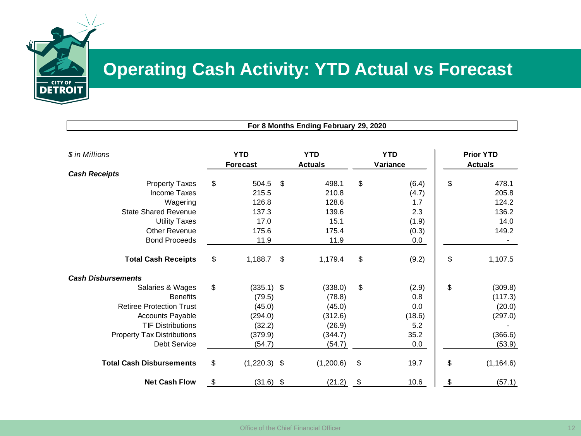

# **Operating Cash Activity: YTD Actual vs Forecast**

|                                   |    |                               |                         | For 8 Months Ending February 29, 2020 |                           |                        |                   |                                    |
|-----------------------------------|----|-------------------------------|-------------------------|---------------------------------------|---------------------------|------------------------|-------------------|------------------------------------|
| \$ in Millions                    |    | <b>YTD</b><br><b>Forecast</b> |                         | <b>YTD</b><br><b>Actuals</b>          |                           | <b>YTD</b><br>Variance |                   | <b>Prior YTD</b><br><b>Actuals</b> |
| <b>Cash Receipts</b>              |    |                               |                         |                                       |                           |                        |                   |                                    |
| <b>Property Taxes</b>             | \$ | 504.5                         | \$                      | 498.1                                 | \$                        | (6.4)                  | \$                | 478.1                              |
| Income Taxes                      |    | 215.5                         |                         | 210.8                                 |                           | (4.7)                  |                   | 205.8                              |
| Wagering                          |    | 126.8                         |                         | 128.6                                 |                           | 1.7                    |                   | 124.2                              |
| <b>State Shared Revenue</b>       |    | 137.3                         |                         | 139.6                                 |                           | 2.3                    |                   | 136.2                              |
| <b>Utility Taxes</b>              |    | 17.0                          |                         | 15.1                                  |                           | (1.9)                  |                   | 14.0                               |
| Other Revenue                     |    | 175.6                         |                         | 175.4                                 |                           | (0.3)                  |                   | 149.2                              |
| <b>Bond Proceeds</b>              |    | 11.9                          |                         | 11.9                                  |                           | 0.0                    |                   |                                    |
| <b>Total Cash Receipts</b>        | \$ | 1,188.7                       | \$                      | 1,179.4                               | \$                        | (9.2)                  | \$                | 1,107.5                            |
| <b>Cash Disbursements</b>         |    |                               |                         |                                       |                           |                        |                   |                                    |
| Salaries & Wages                  | \$ | $(335.1)$ \$                  |                         | (338.0)                               | \$                        | (2.9)                  | \$                | (309.8)                            |
| <b>Benefits</b>                   |    | (79.5)                        |                         | (78.8)                                |                           | 0.8                    |                   | (117.3)                            |
| <b>Retiree Protection Trust</b>   |    | (45.0)                        |                         | (45.0)                                |                           | 0.0                    |                   | (20.0)                             |
| <b>Accounts Payable</b>           |    | (294.0)                       |                         | (312.6)                               |                           | (18.6)                 |                   | (297.0)                            |
| <b>TIF Distributions</b>          |    | (32.2)                        |                         | (26.9)                                |                           | 5.2                    |                   |                                    |
| <b>Property Tax Distributions</b> |    | (379.9)                       |                         | (344.7)                               |                           | 35.2                   |                   | (366.6)                            |
| <b>Debt Service</b>               |    | (54.7)                        |                         | (54.7)                                |                           | 0.0                    |                   | (53.9)                             |
| <b>Total Cash Disbursements</b>   | \$ | $(1,220.3)$ \$                |                         | (1,200.6)                             | \$                        | 19.7                   | \$                | (1, 164.6)                         |
| <b>Net Cash Flow</b>              | \$ | (31.6)                        | $\sqrt[6]{\frac{1}{2}}$ | (21.2)                                | $\boldsymbol{\mathsf{S}}$ | 10.6                   | $\boldsymbol{\$}$ | (57.1)                             |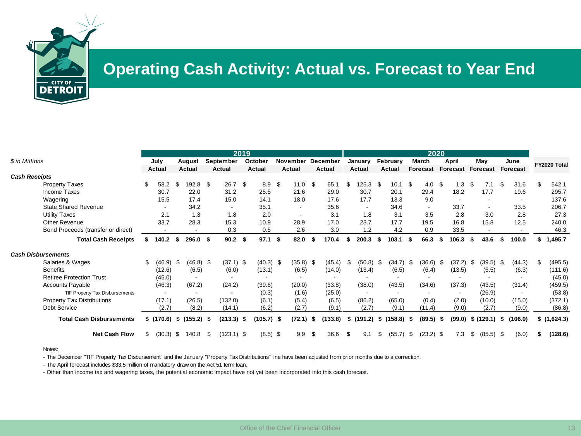

### **Operating Cash Activity: Actual vs. Forecast to Year End**

|                                    |    | 2019                        |      |                    |      |              |     |                  |  |             |      |          |                     |               | 2020 |                          |      |             |      |                          |    |                            |  |                          |      |             |
|------------------------------------|----|-----------------------------|------|--------------------|------|--------------|-----|------------------|--|-------------|------|----------|---------------------|---------------|------|--------------------------|------|-------------|------|--------------------------|----|----------------------------|--|--------------------------|------|-------------|
| \$ in Millions                     |    | July                        |      | August             |      | September    |     | October          |  | November    |      | December | January<br>February |               |      | March                    |      | April       |      | May                      |    | June                       |  | FY2020 Total             |      |             |
|                                    |    | Actual                      |      | Actual             |      | Actual       |     | <b>Actual</b>    |  | Actual      |      | Actual   |                     | Actual        |      | Actual                   |      | Forecast    |      |                          |    | Forecast Forecast Forecast |  |                          |      |             |
| <b>Cash Receipts</b>               |    |                             |      |                    |      |              |     |                  |  |             |      |          |                     |               |      |                          |      |             |      |                          |    |                            |  |                          |      |             |
| <b>Property Taxes</b>              |    | 58.2                        | \$   | 192.8 \$           |      | 26.7         | \$  | 8.9 <sup>5</sup> |  | 11.0        | - \$ | 65.1     | S                   | 125.3         | - \$ | 10.1                     | - \$ | 4.0         | - \$ | 1.3                      |    | 7.1                        |  | 31.6                     |      | 542.1       |
| Income Taxes                       |    | 30.7                        |      | 22.0               |      | 31.2         |     | 25.5             |  | 21.6        |      | 29.0     |                     | 30.7          |      | 20.1                     |      | 29.4        |      | 18.2                     |    | 17.7                       |  | 19.6                     |      | 295.7       |
| Wagering                           |    | 15.5                        |      | 17.4               |      | 15.0         |     | 14.1             |  | 18.0        |      | 17.6     |                     | 17.7          |      | 13.3                     |      | 9.0         |      |                          |    |                            |  |                          |      | 137.6       |
| <b>State Shared Revenue</b>        |    |                             |      | 34.2               |      |              |     | 35.1             |  |             |      | 35.6     |                     |               |      | 34.6                     |      |             |      | 33.7                     |    | $\overline{\phantom{a}}$   |  | 33.5                     |      | 206.7       |
| <b>Utility Taxes</b>               |    | 2.1                         |      | 1.3                |      | 1.8          |     | 2.0              |  |             |      | 3.1      |                     | 1.8           |      | 3.1                      |      | 3.5         |      | 2.8                      |    | 3.0                        |  | 2.8                      |      | 27.3        |
| Other Revenue                      |    | 33.7                        |      | 28.3               |      | 15.3         |     | 10.9             |  | 28.9        |      | 17.0     |                     | 23.7          |      | 17.7                     |      | 19.5        |      | 16.8                     |    | 15.8                       |  | 12.5                     |      | 240.0       |
| Bond Proceeds (transfer or direct) |    |                             |      |                    |      | 0.3          |     | 0.5              |  | 2.6         |      | 3.0      |                     | 1.2           |      | 4.2                      |      | 0.9         |      | 33.5                     |    |                            |  |                          |      | 46.3        |
| <b>Total Cash Receipts</b>         | s. | 140.2                       | - 5  | 296.0 <sup>5</sup> |      | 90.2         | -\$ | 97.1 S           |  | 82.0        | S    | 170.4    | Ŝ.                  | 200.3         | -S   | 103.1                    | - 5  | 66.3        | - 55 | 106.3                    |    | 43.6                       |  | 100.0                    |      | 1,495.7     |
| <b>Cash Disbursements</b>          |    |                             |      |                    |      |              |     |                  |  |             |      |          |                     |               |      |                          |      |             |      |                          |    |                            |  |                          |      |             |
| Salaries & Wages                   | \$ | (46.9)                      | -\$  | $(46.8)$ \$        |      | $(37.1)$ \$  |     | $(40.3)$ \$      |  | $(35.8)$ \$ |      | (45.4)   | \$                  | (50.8)        | - \$ | $(34.7)$ \$              |      | (36.6)      | - \$ | (37.2)                   | \$ | $(39.5)$ \$                |  | (44.3)                   | - \$ | (495.5)     |
| <b>Benefits</b>                    |    | (12.6)                      |      | (6.5)              |      | (6.0)        |     | (13.1)           |  | (6.5)       |      | (14.0)   |                     | (13.4)        |      | (6.5)                    |      | (6.4)       |      | (13.5)                   |    | (6.5)                      |  | (6.3)                    |      | (111.6)     |
| <b>Retiree Protection Trust</b>    |    | (45.0)                      |      |                    |      |              |     |                  |  |             |      |          |                     |               |      |                          |      |             |      |                          |    |                            |  |                          |      | (45.0)      |
| <b>Accounts Payable</b>            |    | (46.3)                      |      | (67.2)             |      | (24.2)       |     | (39.6)           |  | (20.0)      |      | (33.8)   |                     | (38.0)        |      | (43.5)                   |      | (34.6)      |      | (37.3)                   |    | (43.5)                     |  | (31.4)                   |      | (459.5)     |
| TIF Property Tax Disbursements     |    |                             |      |                    |      |              |     | (0.3)            |  | (1.6)       |      | (25.0)   |                     |               |      | $\overline{\phantom{a}}$ |      |             |      | $\overline{\phantom{a}}$ |    | (26.9)                     |  | $\overline{\phantom{a}}$ |      | (53.8)      |
| <b>Property Tax Distributions</b>  |    | (17.1)                      |      | (26.5)             |      | (132.0)      |     | (6.1)            |  | (5.4)       |      | (6.5)    |                     | (86.2)        |      | (65.0)                   |      | (0.4)       |      | (2.0)                    |    | (10.0)                     |  | (15.0)                   |      | (372.1)     |
| Debt Service                       |    | (2.7)                       |      | (8.2)              |      | (14.1)       |     | (6.2)            |  | (2.7)       |      | (9.1)    |                     | (2.7)         |      | (9.1)                    |      | (11.4)      |      | (9.0)                    |    | (2.7)                      |  | (9.0)                    |      | (86.8)      |
| <b>Total Cash Disbursements</b>    |    | $$$ (170.6) $$$ (155.2) $$$ |      |                    |      | $(213.3)$ \$ |     | $(105.7)$ \$     |  | (72.1)      | - \$ | (133.8)  |                     | $$(191.2)$ \$ |      | $(158.8)$ \$             |      | $(89.5)$ \$ |      | (99.0)                   |    | $$(129.1)$ \$              |  | (106.0)                  |      | \$(1,624.3) |
| <b>Net Cash Flow</b>               | \$ | (30.3)                      | - \$ | 140.8              | - \$ | $(123.1)$ \$ |     | $(8.5)$ \$       |  | 9.9         | -\$  | 36.6     | \$                  | 9.1           | S.   | (55.7)                   | - \$ | $(23.2)$ \$ |      | 7.3                      | \$ | $(85.5)$ \$                |  | (6.0)                    |      | (128.6)     |

Notes:

- The December "TIF Property Tax Disbursement" and the January "Property Tax Distributions" line have been adjusted from prior months due to a correction.

- The April forecast includes \$33.5 million of mandatory draw on the Act 51 term loan.

- Other than income tax and wagering taxes, the potential economic impact have not yet been incorporated into this cash forecast.